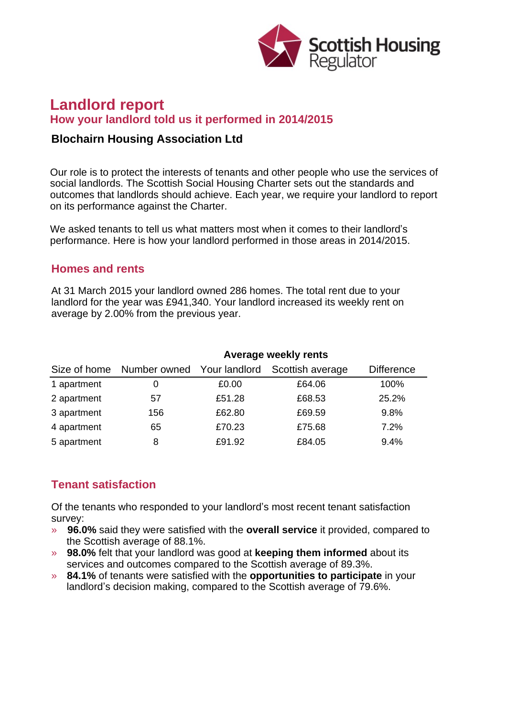

# **Landlord report How your landlord told us it performed in 2014/2015**

#### **Blochairn Housing Association Ltd**

Our role is to protect the interests of tenants and other people who use the services of social landlords. The Scottish Social Housing Charter sets out the standards and outcomes that landlords should achieve. Each year, we require your landlord to report on its performance against the Charter.

We asked tenants to tell us what matters most when it comes to their landlord's performance. Here is how your landlord performed in those areas in 2014/2015.

#### **Homes and rents**

At 31 March 2015 your landlord owned 286 homes. The total rent due to your landlord for the year was £941,340. Your landlord increased its weekly rent on average by 2.00% from the previous year.

| Size of home | Average weekly rents       |        |                  |                   |
|--------------|----------------------------|--------|------------------|-------------------|
|              | Number owned Your landlord |        | Scottish average | <b>Difference</b> |
| 1 apartment  | 0                          | £0.00  | £64.06           | 100%              |
| 2 apartment  | 57                         | £51.28 | £68.53           | 25.2%             |
| 3 apartment  | 156                        | £62.80 | £69.59           | 9.8%              |
| 4 apartment  | 65                         | £70.23 | £75.68           | 7.2%              |
| 5 apartment  | 8                          | £91.92 | £84.05           | 9.4%              |

## **Tenant satisfaction**

Of the tenants who responded to your landlord's most recent tenant satisfaction survey:

- » **96.0%** said they were satisfied with the **overall service** it provided, compared to the Scottish average of 88.1%.
- » **98.0%** felt that your landlord was good at **keeping them informed** about its services and outcomes compared to the Scottish average of 89.3%.
- » **84.1%** of tenants were satisfied with the **opportunities to participate** in your landlord's decision making, compared to the Scottish average of 79.6%.